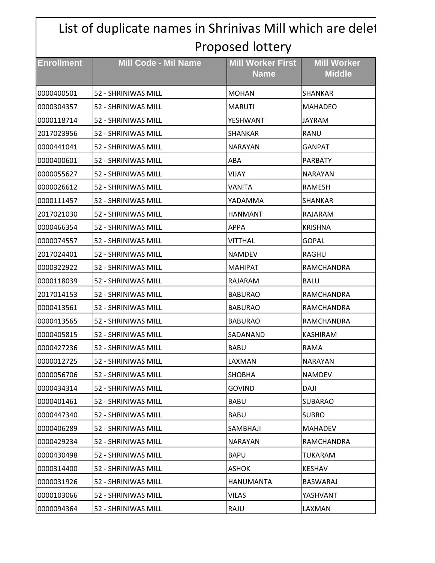|                   | List of duplicate names in Shrinivas Mill which are delet |                                         |                                     |
|-------------------|-----------------------------------------------------------|-----------------------------------------|-------------------------------------|
| Proposed lottery  |                                                           |                                         |                                     |
| <b>Enrollment</b> | <b>Mill Code - Mil Name</b>                               | <b>Mill Worker First</b><br><b>Name</b> | <b>Mill Worker</b><br><b>Middle</b> |
| 0000400501        | 52 - SHRINIWAS MILL                                       | <b>MOHAN</b>                            | SHANKAR                             |
| 0000304357        | 52 - SHRINIWAS MILL                                       | <b>MARUTI</b>                           | <b>MAHADEO</b>                      |
| 0000118714        | 52 - SHRINIWAS MILL                                       | YESHWANT                                | <b>JAYRAM</b>                       |
| 2017023956        | 52 - SHRINIWAS MILL                                       | <b>SHANKAR</b>                          | <b>RANU</b>                         |
| 0000441041        | 52 - SHRINIWAS MILL                                       | <b>NARAYAN</b>                          | GANPAT                              |
| 0000400601        | 52 - SHRINIWAS MILL                                       | ABA                                     | <b>PARBATY</b>                      |
| 0000055627        | 52 - SHRINIWAS MILL                                       | VIJAY                                   | <b>NARAYAN</b>                      |
| 0000026612        | 52 - SHRINIWAS MILL                                       | VANITA                                  | RAMESH                              |
| 0000111457        | 52 - SHRINIWAS MILL                                       | YADAMMA                                 | SHANKAR                             |
| 2017021030        | 52 - SHRINIWAS MILL                                       | <b>HANMANT</b>                          | RAJARAM                             |
| 0000466354        | 52 - SHRINIWAS MILL                                       | <b>APPA</b>                             | <b>KRISHNA</b>                      |
| 0000074557        | 52 - SHRINIWAS MILL                                       | VITTHAL                                 | <b>GOPAL</b>                        |
| 2017024401        | 52 - SHRINIWAS MILL                                       | <b>NAMDEV</b>                           | RAGHU                               |
| 0000322922        | 52 - SHRINIWAS MILL                                       | <b>MAHIPAT</b>                          | RAMCHANDRA                          |
| 0000118039        | 52 - SHRINIWAS MILL                                       | RAJARAM                                 | <b>BALU</b>                         |
| 2017014153        | 52 - SHRINIWAS MILL                                       | <b>BABURAO</b>                          | RAMCHANDRA                          |
| 0000413561        | 52 - SHRINIWAS MILL                                       | <b>BABURAO</b>                          | RAMCHANDRA                          |
| 0000413565        | 52 - SHRINIWAS MILL                                       | <b>BABURAO</b>                          | RAMCHANDRA                          |
| 0000405815        | 52 - SHRINIWAS MILL                                       | ISADANAND                               | KASHIRAM                            |
| 0000427236        | 52 - SHRINIWAS MILL                                       | <b>BABU</b>                             | <b>RAMA</b>                         |
| 0000012725        | 52 - SHRINIWAS MILL                                       | LAXMAN                                  | <b>NARAYAN</b>                      |
| 0000056706        | 52 - SHRINIWAS MILL                                       | <b>SHOBHA</b>                           | <b>NAMDEV</b>                       |
| 0000434314        | 52 - SHRINIWAS MILL                                       | <b>GOVIND</b>                           | DAJI                                |
| 0000401461        | 52 - SHRINIWAS MILL                                       | <b>BABU</b>                             | SUBARAO                             |
| 0000447340        | 52 - SHRINIWAS MILL                                       | <b>BABU</b>                             | <b>SUBRO</b>                        |
| 0000406289        | 52 - SHRINIWAS MILL                                       | SAMBHAJI                                | <b>MAHADEV</b>                      |
| 0000429234        | 52 - SHRINIWAS MILL                                       | <b>NARAYAN</b>                          | RAMCHANDRA                          |
| 0000430498        | 52 - SHRINIWAS MILL                                       | <b>BAPU</b>                             | TUKARAM                             |
| 0000314400        | 52 - SHRINIWAS MILL                                       | <b>ASHOK</b>                            | <b>KESHAV</b>                       |
| 0000031926        | 52 - SHRINIWAS MILL                                       | HANUMANTA                               | <b>BASWARAJ</b>                     |
| 0000103066        | 52 - SHRINIWAS MILL                                       | <b>VILAS</b>                            | YASHVANT                            |
| 0000094364        | 52 - SHRINIWAS MILL                                       | RAJU                                    | LAXMAN                              |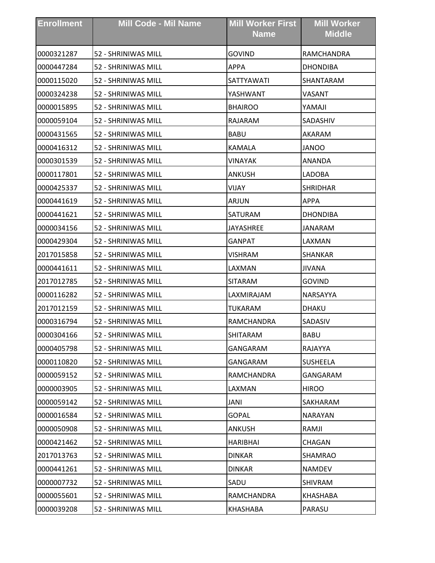| <b>Enrollment</b> | <b>Mill Code - Mil Name</b> | <b>Mill Worker First</b><br><b>Name</b> | <b>Mill Worker</b><br><b>Middle</b> |
|-------------------|-----------------------------|-----------------------------------------|-------------------------------------|
| 0000321287        | 52 - SHRINIWAS MILL         | <b>GOVIND</b>                           | RAMCHANDRA                          |
| 0000447284        | 52 - SHRINIWAS MILL         | <b>APPA</b>                             | <b>DHONDIBA</b>                     |
| 0000115020        | 52 - SHRINIWAS MILL         | SATTYAWATI                              | SHANTARAM                           |
| 0000324238        | 52 - SHRINIWAS MILL         | YASHWANT                                | VASANT                              |
| 0000015895        | 52 - SHRINIWAS MILL         | <b>BHAIROO</b>                          | YAMAJI                              |
| 0000059104        | 52 - SHRINIWAS MILL         | RAJARAM                                 | SADASHIV                            |
| 0000431565        | 52 - SHRINIWAS MILL         | <b>BABU</b>                             | AKARAM                              |
| 0000416312        | 52 - SHRINIWAS MILL         | <b>KAMALA</b>                           | <b>JANOO</b>                        |
| 0000301539        | 52 - SHRINIWAS MILL         | <b>VINAYAK</b>                          | ANANDA                              |
| 0000117801        | 52 - SHRINIWAS MILL         | <b>ANKUSH</b>                           | LADOBA                              |
| 0000425337        | 52 - SHRINIWAS MILL         | VIJAY                                   | <b>SHRIDHAR</b>                     |
| 0000441619        | 52 - SHRINIWAS MILL         | ARJUN                                   | <b>APPA</b>                         |
| 0000441621        | 52 - SHRINIWAS MILL         | SATURAM                                 | <b>DHONDIBA</b>                     |
| 0000034156        | 52 - SHRINIWAS MILL         | JAYASHREE                               | <b>JANARAM</b>                      |
| 0000429304        | 52 - SHRINIWAS MILL         | GANPAT                                  | LAXMAN                              |
| 2017015858        | 52 - SHRINIWAS MILL         | <b>VISHRAM</b>                          | SHANKAR                             |
| 0000441611        | 52 - SHRINIWAS MILL         | LAXMAN                                  | <b>JIVANA</b>                       |
| 2017012785        | 52 - SHRINIWAS MILL         | <b>SITARAM</b>                          | <b>GOVIND</b>                       |
| 0000116282        | 52 - SHRINIWAS MILL         | LAXMIRAJAM                              | NARSAYYA                            |
| 2017012159        | 52 - SHRINIWAS MILL         | <b>TUKARAM</b>                          | <b>DHAKU</b>                        |
| 0000316794        | 52 - SHRINIWAS MILL         | RAMCHANDRA                              | SADASIV                             |
| 0000304166        | 52 - SHRINIWAS MILL         | SHITARAM                                | BABU                                |
| 0000405798        | 52 - SHRINIWAS MILL         | GANGARAM                                | RAJAYYA                             |
| 0000110820        | 52 - SHRINIWAS MILL         | GANGARAM                                | <b>SUSHEELA</b>                     |
| 0000059152        | 52 - SHRINIWAS MILL         | RAMCHANDRA                              | GANGARAM                            |
| 0000003905        | 52 - SHRINIWAS MILL         | LAXMAN                                  | <b>HIROO</b>                        |
| 0000059142        | 52 - SHRINIWAS MILL         | JANI                                    | SAKHARAM                            |
| 0000016584        | 52 - SHRINIWAS MILL         | <b>GOPAL</b>                            | <b>NARAYAN</b>                      |
| 0000050908        | 52 - SHRINIWAS MILL         | ANKUSH                                  | RAMJI                               |
| 0000421462        | 52 - SHRINIWAS MILL         | <b>HARIBHAI</b>                         | CHAGAN                              |
| 2017013763        | 52 - SHRINIWAS MILL         | <b>DINKAR</b>                           | <b>SHAMRAO</b>                      |
| 0000441261        | 52 - SHRINIWAS MILL         | <b>DINKAR</b>                           | <b>NAMDEV</b>                       |
| 0000007732        | 52 - SHRINIWAS MILL         | SADU                                    | <b>SHIVRAM</b>                      |
| 0000055601        | 52 - SHRINIWAS MILL         | RAMCHANDRA                              | KHASHABA                            |
| 0000039208        | 52 - SHRINIWAS MILL         | KHASHABA                                | PARASU                              |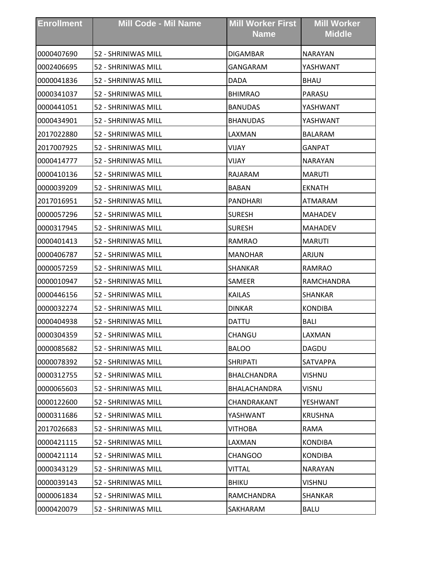| <b>Enrollment</b> | <b>Mill Code - Mil Name</b> | <b>Mill Worker First</b><br><b>Name</b> | <b>Mill Worker</b><br><b>Middle</b> |
|-------------------|-----------------------------|-----------------------------------------|-------------------------------------|
| 0000407690        | 52 - SHRINIWAS MILL         | <b>DIGAMBAR</b>                         | <b>NARAYAN</b>                      |
| 0002406695        | 52 - SHRINIWAS MILL         | GANGARAM                                | YASHWANT                            |
| 0000041836        | 52 - SHRINIWAS MILL         | <b>DADA</b>                             | <b>BHAU</b>                         |
| 0000341037        | 52 - SHRINIWAS MILL         | <b>BHIMRAO</b>                          | PARASU                              |
| 0000441051        | 52 - SHRINIWAS MILL         | <b>BANUDAS</b>                          | YASHWANT                            |
| 0000434901        | 52 - SHRINIWAS MILL         | <b>BHANUDAS</b>                         | YASHWANT                            |
| 2017022880        | 52 - SHRINIWAS MILL         | LAXMAN                                  | <b>BALARAM</b>                      |
| 2017007925        | 52 - SHRINIWAS MILL         | VIJAY                                   | <b>GANPAT</b>                       |
| 0000414777        | 52 - SHRINIWAS MILL         | VIJAY                                   | <b>NARAYAN</b>                      |
| 0000410136        | 52 - SHRINIWAS MILL         | RAJARAM                                 | <b>MARUTI</b>                       |
| 0000039209        | 52 - SHRINIWAS MILL         | <b>BABAN</b>                            | <b>EKNATH</b>                       |
| 2017016951        | 52 - SHRINIWAS MILL         | <b>PANDHARI</b>                         | ATMARAM                             |
| 0000057296        | 52 - SHRINIWAS MILL         | <b>SURESH</b>                           | <b>MAHADEV</b>                      |
| 0000317945        | 52 - SHRINIWAS MILL         | <b>SURESH</b>                           | <b>MAHADEV</b>                      |
| 0000401413        | 52 - SHRINIWAS MILL         | RAMRAO                                  | <b>MARUTI</b>                       |
| 0000406787        | 52 - SHRINIWAS MILL         | <b>MANOHAR</b>                          | ARJUN                               |
| 0000057259        | 52 - SHRINIWAS MILL         | <b>SHANKAR</b>                          | RAMRAO                              |
| 0000010947        | 52 - SHRINIWAS MILL         | SAMEER                                  | RAMCHANDRA                          |
| 0000446156        | 52 - SHRINIWAS MILL         | <b>KAILAS</b>                           | SHANKAR                             |
| 0000032274        | 52 - SHRINIWAS MILL         | <b>DINKAR</b>                           | <b>KONDIBA</b>                      |
| 0000404938        | 52 - SHRINIWAS MILL         | <b>DATTU</b>                            | <b>BALI</b>                         |
| 0000304359        | 52 - SHRINIWAS MILL         | CHANGU                                  | LAXMAN                              |
| 0000085682        | 52 - SHRINIWAS MILL         | <b>BALOO</b>                            | DAGDU                               |
| 0000078392        | 52 - SHRINIWAS MILL         | <b>SHRIPATI</b>                         | <b>SATVAPPA</b>                     |
| 0000312755        | 52 - SHRINIWAS MILL         | BHALCHANDRA                             | <b>VISHNU</b>                       |
| 0000065603        | 52 - SHRINIWAS MILL         | BHALACHANDRA                            | <b>VISNU</b>                        |
| 0000122600        | 52 - SHRINIWAS MILL         | CHANDRAKANT                             | YESHWANT                            |
| 0000311686        | 52 - SHRINIWAS MILL         | YASHWANT                                | <b>KRUSHNA</b>                      |
| 2017026683        | 52 - SHRINIWAS MILL         | <b>VITHOBA</b>                          | <b>RAMA</b>                         |
| 0000421115        | 52 - SHRINIWAS MILL         | LAXMAN                                  | <b>KONDIBA</b>                      |
| 0000421114        | 52 - SHRINIWAS MILL         | <b>CHANGOO</b>                          | <b>KONDIBA</b>                      |
| 0000343129        | 52 - SHRINIWAS MILL         | VITTAL                                  | <b>NARAYAN</b>                      |
| 0000039143        | 52 - SHRINIWAS MILL         | <b>BHIKU</b>                            | VISHNU                              |
| 0000061834        | 52 - SHRINIWAS MILL         | RAMCHANDRA                              | SHANKAR                             |
| 0000420079        | 52 - SHRINIWAS MILL         | SAKHARAM                                | <b>BALU</b>                         |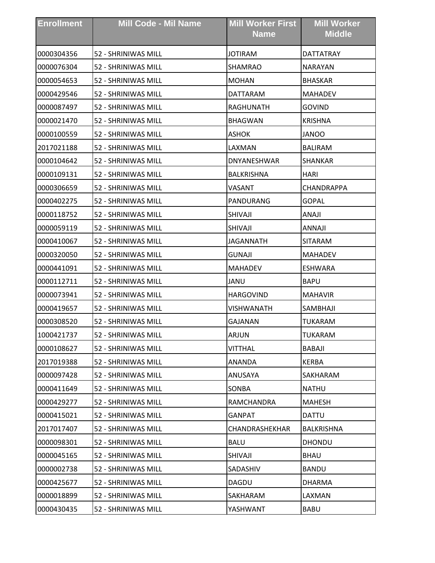| <b>Enrollment</b> | <b>Mill Code - Mil Name</b> | <b>Mill Worker First</b><br><b>Name</b> | <b>Mill Worker</b><br><b>Middle</b> |
|-------------------|-----------------------------|-----------------------------------------|-------------------------------------|
| 0000304356        | 52 - SHRINIWAS MILL         | <b>JOTIRAM</b>                          | <b>DATTATRAY</b>                    |
| 0000076304        | 52 - SHRINIWAS MILL         | <b>SHAMRAO</b>                          | <b>NARAYAN</b>                      |
| 0000054653        | 52 - SHRINIWAS MILL         | <b>MOHAN</b>                            | <b>BHASKAR</b>                      |
| 0000429546        | 52 - SHRINIWAS MILL         | DATTARAM                                | <b>MAHADEV</b>                      |
| 0000087497        | 52 - SHRINIWAS MILL         | <b>RAGHUNATH</b>                        | <b>GOVIND</b>                       |
| 0000021470        | 52 - SHRINIWAS MILL         | <b>BHAGWAN</b>                          | <b>KRISHNA</b>                      |
| 0000100559        | 52 - SHRINIWAS MILL         | <b>ASHOK</b>                            | <b>JANOO</b>                        |
| 2017021188        | 52 - SHRINIWAS MILL         | LAXMAN                                  | <b>BALIRAM</b>                      |
| 0000104642        | 52 - SHRINIWAS MILL         | DNYANESHWAR                             | SHANKAR                             |
| 0000109131        | 52 - SHRINIWAS MILL         | <b>BALKRISHNA</b>                       | <b>HARI</b>                         |
| 0000306659        | 52 - SHRINIWAS MILL         | VASANT                                  | CHANDRAPPA                          |
| 0000402275        | 52 - SHRINIWAS MILL         | PANDURANG                               | GOPAL                               |
| 0000118752        | 52 - SHRINIWAS MILL         | SHIVAJI                                 | ANAJI                               |
| 0000059119        | 52 - SHRINIWAS MILL         | SHIVAJI                                 | ANNAJI                              |
| 0000410067        | 52 - SHRINIWAS MILL         | JAGANNATH                               | SITARAM                             |
| 0000320050        | 52 - SHRINIWAS MILL         | <b>GUNAJI</b>                           | <b>MAHADEV</b>                      |
| 0000441091        | 52 - SHRINIWAS MILL         | <b>MAHADEV</b>                          | <b>ESHWARA</b>                      |
| 0000112711        | 52 - SHRINIWAS MILL         | JANU                                    | <b>BAPU</b>                         |
| 0000073941        | 52 - SHRINIWAS MILL         | <b>HARGOVIND</b>                        | <b>MAHAVIR</b>                      |
| 0000419657        | 52 - SHRINIWAS MILL         | VISHWANATH                              | SAMBHAJI                            |
| 0000308520        | 52 - SHRINIWAS MILL         | <b>GAJANAN</b>                          | <b>TUKARAM</b>                      |
| 1000421737        | 52 - SHRINIWAS MILL         | ARJUN                                   | TUKARAM                             |
| 0000108627        | 52 - SHRINIWAS MILL         | <b>VITTHAL</b>                          | <b>BABAJI</b>                       |
| 2017019388        | 52 - SHRINIWAS MILL         | ANANDA                                  | <b>KERBA</b>                        |
| 0000097428        | 52 - SHRINIWAS MILL         | ANUSAYA                                 | SAKHARAM                            |
| 0000411649        | 52 - SHRINIWAS MILL         | <b>SONBA</b>                            | <b>NATHU</b>                        |
| 0000429277        | 52 - SHRINIWAS MILL         | RAMCHANDRA                              | <b>MAHESH</b>                       |
| 0000415021        | 52 - SHRINIWAS MILL         | GANPAT                                  | <b>DATTU</b>                        |
| 2017017407        | 52 - SHRINIWAS MILL         | CHANDRASHEKHAR                          | BALKRISHNA                          |
| 0000098301        | 52 - SHRINIWAS MILL         | <b>BALU</b>                             | <b>DHONDU</b>                       |
| 0000045165        | 52 - SHRINIWAS MILL         | SHIVAJI                                 | <b>BHAU</b>                         |
| 0000002738        | 52 - SHRINIWAS MILL         | SADASHIV                                | <b>BANDU</b>                        |
| 0000425677        | 52 - SHRINIWAS MILL         | <b>DAGDU</b>                            | <b>DHARMA</b>                       |
| 0000018899        | 52 - SHRINIWAS MILL         | SAKHARAM                                | LAXMAN                              |
| 0000430435        | 52 - SHRINIWAS MILL         | YASHWANT                                | <b>BABU</b>                         |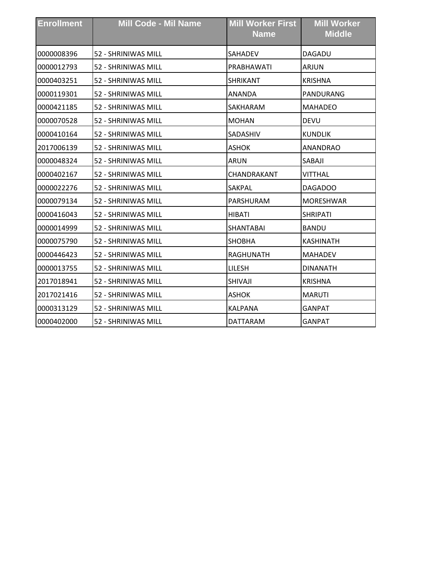| <b>Enrollment</b> | <b>Mill Code - Mil Name</b> | <b>Mill Worker First</b><br><b>Name</b> | <b>Mill Worker</b><br><b>Middle</b> |
|-------------------|-----------------------------|-----------------------------------------|-------------------------------------|
| 0000008396        | 52 - SHRINIWAS MILL         | <b>SAHADEV</b>                          | DAGADU                              |
| 0000012793        | 52 - SHRINIWAS MILL         | PRABHAWATI                              | <b>ARJUN</b>                        |
| 0000403251        | 52 - SHRINIWAS MILL         | <b>SHRIKANT</b>                         | <b>KRISHNA</b>                      |
| 0000119301        | 52 - SHRINIWAS MILL         | ANANDA                                  | PANDURANG                           |
| 0000421185        | 52 - SHRINIWAS MILL         | SAKHARAM                                | <b>MAHADEO</b>                      |
| 0000070528        | 52 - SHRINIWAS MILL         | <b>MOHAN</b>                            | <b>DEVU</b>                         |
| 0000410164        | 52 - SHRINIWAS MILL         | <b>SADASHIV</b>                         | KUNDLIK                             |
| 2017006139        | 52 - SHRINIWAS MILL         | <b>ASHOK</b>                            | <b>ANANDRAO</b>                     |
| 0000048324        | 52 - SHRINIWAS MILL         | <b>ARUN</b>                             | SABAII                              |
| 0000402167        | 52 - SHRINIWAS MILL         | CHANDRAKANT                             | VITTHAL                             |
| 0000022276        | 52 - SHRINIWAS MILL         | SAKPAL                                  | DAGADOO                             |
| 0000079134        | 52 - SHRINIWAS MILL         | PARSHURAM                               | <b>MORESHWAR</b>                    |
| 0000416043        | 52 - SHRINIWAS MILL         | <b>HIBATI</b>                           | <b>SHRIPATI</b>                     |
| 0000014999        | 52 - SHRINIWAS MILL         | <b>SHANTABAI</b>                        | <b>BANDU</b>                        |
| 0000075790        | 52 - SHRINIWAS MILL         | <b>SHOBHA</b>                           | <b>KASHINATH</b>                    |
| 0000446423        | 52 - SHRINIWAS MILL         | RAGHUNATH                               | MAHADEV                             |
| 0000013755        | 52 - SHRINIWAS MILL         | LILESH                                  | <b>DINANATH</b>                     |
| 2017018941        | 52 - SHRINIWAS MILL         | SHIVAJI                                 | KRISHNA                             |
| 2017021416        | 52 - SHRINIWAS MILL         | <b>ASHOK</b>                            | <b>MARUTI</b>                       |
| 0000313129        | 52 - SHRINIWAS MILL         | <b>KALPANA</b>                          | <b>GANPAT</b>                       |
| 0000402000        | 52 - SHRINIWAS MILL         | <b>DATTARAM</b>                         | <b>GANPAT</b>                       |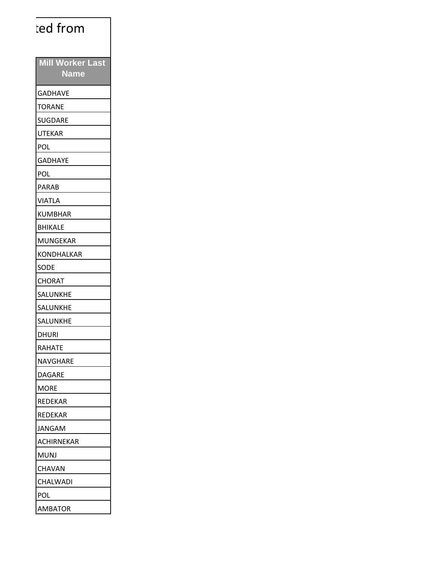| ted from                               |
|----------------------------------------|
| <b>Mill Worker Last</b><br><b>Name</b> |
| <b>GADHAVE</b>                         |
| <b>TORANE</b>                          |
| <b>SUGDARE</b>                         |
| <b>UTEKAR</b>                          |
| POL                                    |
| <b>GADHAYE</b>                         |
| <b>POL</b>                             |
| <b>PARAB</b>                           |
| <b>VIATLA</b>                          |
| <b>KUMBHAR</b>                         |
| <b>BHIKALE</b>                         |
| <b>MUNGEKAR</b>                        |
| KONDHALKAR                             |
| <b>SODE</b>                            |
| <b>CHORAT</b>                          |
| SALUNKHE                               |
| SALUNKHE                               |
| <b>SALUNKHE</b>                        |
| <b>DHURI</b>                           |
| <b>RAHATE</b>                          |
| NAVGHARE                               |
| <b>DAGARE</b>                          |
| <b>MORE</b>                            |
| REDEKAR                                |
| REDEKAR                                |
| <b>JANGAM</b>                          |
| ACHIRNEKAR                             |
| <b>MUNJ</b>                            |
| <b>CHAVAN</b>                          |
| CHALWADI                               |
| POL                                    |
| AMBATOR                                |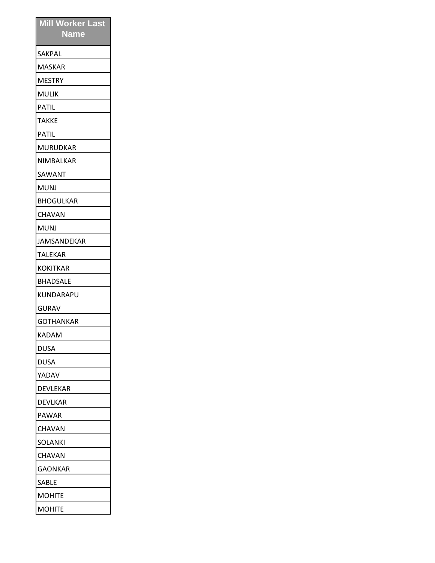| <b>Mill Worker Last</b><br><b>Name</b> |
|----------------------------------------|
| SAKPAL                                 |
| MASKAR                                 |
| <b>MESTRY</b>                          |
| <b>MULIK</b>                           |
| <b>PATIL</b>                           |
| <b>TAKKE</b>                           |
| PATIL                                  |
| MURUDKAR                               |
| NIMBALKAR                              |
| SAWANT                                 |
| <b>MUNJ</b>                            |
| <b>BHOGULKAR</b>                       |
| CHAVAN                                 |
| MUNJ                                   |
| JAMSANDEKAR                            |
| TALEKAR                                |
| <b>KOKITKAR</b>                        |
| <b>BHADSALE</b>                        |
| KUNDARAPU                              |
| <b>GURAV</b>                           |
| GOTHANKAR                              |
| KADAM                                  |
| DUSA                                   |
| DUSA                                   |
| YADAV                                  |
| DEVLEKAR                               |
| DEVLKAR                                |
| PAWAR                                  |
| <b>CHAVAN</b>                          |
| <b>SOLANKI</b>                         |
| <b>CHAVAN</b>                          |
| IGAONKAR                               |
| <b>SABLE</b>                           |
| <b>MOHITE</b>                          |
| <b>MOHITE</b>                          |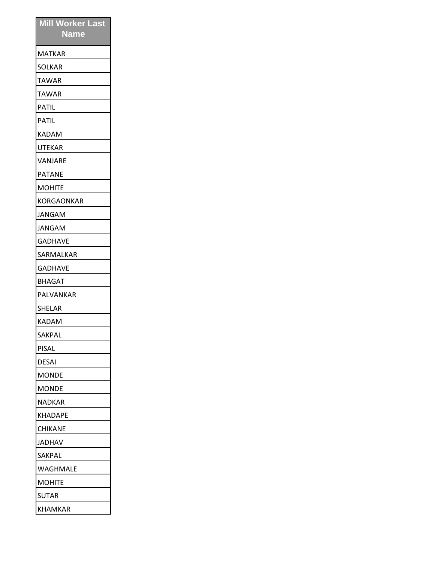| <b>Mill Worker Last</b><br><b>Name</b> |
|----------------------------------------|
| MATKAR                                 |
| SOLKAR                                 |
| TAWAR                                  |
| <b>TAWAR</b>                           |
| PATIL                                  |
| PATIL                                  |
| KADAM                                  |
| UTEKAR                                 |
| VANJARE                                |
| <b>PATANE</b>                          |
| <b>MOHITE</b>                          |
| KORGAONKAR                             |
| JANGAM                                 |
| JANGAM                                 |
| GADHAVE                                |
| SARMALKAR                              |
| GADHAVE                                |
| BHAGAT                                 |
| PALVANKAR                              |
| SHELAR                                 |
| KADAM                                  |
| SAKPAL                                 |
| PISAL                                  |
| DESAI                                  |
| IMONDE                                 |
| <b>MONDE</b>                           |
| <b>NADKAR</b>                          |
| KHADAPE                                |
| <b>CHIKANE</b>                         |
| <b>JADHAV</b>                          |
| <b>SAKPAL</b>                          |
| <b>WAGHMALE</b>                        |
| <b>MOHITE</b>                          |
| <b>SUTAR</b>                           |
| <b>KHAMKAR</b>                         |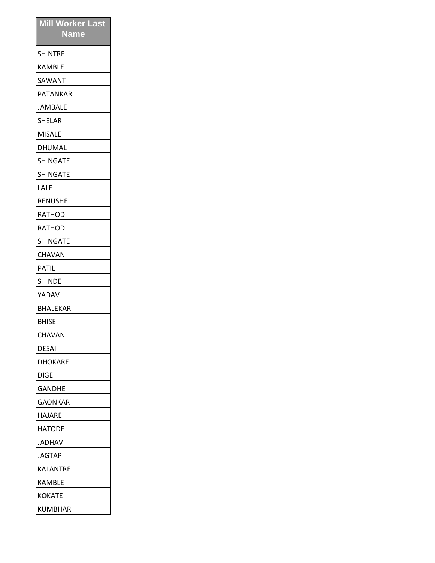| <b>Mill Worker Last</b><br><b>Name</b> |
|----------------------------------------|
| <b>SHINTRE</b>                         |
| <b>KAMBLE</b>                          |
| SAWANT                                 |
| PATANKAR                               |
| JAMBALE                                |
| SHELAR                                 |
| <b>MISALE</b>                          |
| DHUMAL                                 |
| <b>SHINGATE</b>                        |
| <b>SHINGATE</b>                        |
| LALE                                   |
| <b>RENUSHE</b>                         |
| RATHOD                                 |
| RATHOD                                 |
| <b>SHINGATE</b>                        |
| CHAVAN                                 |
| <b>PATIL</b>                           |
| <b>SHINDE</b>                          |
| YADAV                                  |
| BHALEKAR                               |
| <b>BHISE</b>                           |
| <b>CHAVAN</b>                          |
| DESAI                                  |
| DHOKARE                                |
| <b>DIGE</b>                            |
| <b>GANDHE</b>                          |
| <b>GAONKAR</b>                         |
| HAJARE                                 |
| <b>HATODE</b>                          |
| JADHAV                                 |
| <b>JAGTAP</b>                          |
| KALANTRE                               |
| <b>KAMBLE</b>                          |
| <b>KOKATE</b>                          |
| KUMBHAR                                |